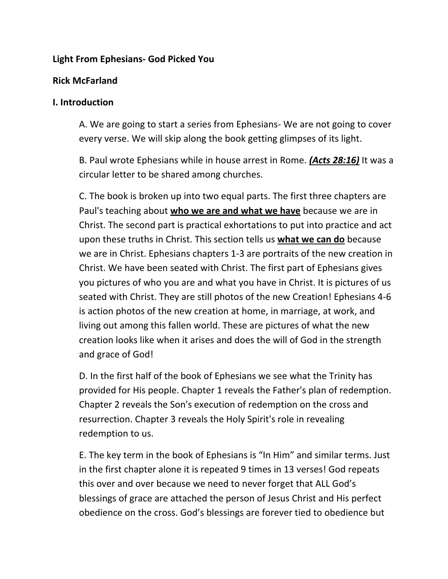## **Light From Ephesians- God Picked You**

### **Rick McFarland**

#### **I. Introduction**

A. We are going to start a series from Ephesians- We are not going to cover every verse. We will skip along the book getting glimpses of its light.

B. Paul wrote Ephesians while in house arrest in Rome. *(Acts 28:16)* It was a circular letter to be shared among churches.

C. The book is broken up into two equal parts. The first three chapters are Paul's teaching about **who we are and what we have** because we are in Christ. The second part is practical exhortations to put into practice and act upon these truths in Christ. This section tells us **what we can do** because we are in Christ. Ephesians chapters 1-3 are portraits of the new creation in Christ. We have been seated with Christ. The first part of Ephesians gives you pictures of who you are and what you have in Christ. It is pictures of us seated with Christ. They are still photos of the new Creation! Ephesians 4-6 is action photos of the new creation at home, in marriage, at work, and living out among this fallen world. These are pictures of what the new creation looks like when it arises and does the will of God in the strength and grace of God!

D. In the first half of the book of Ephesians we see what the Trinity has provided for His people. Chapter 1 reveals the Father's plan of redemption. Chapter 2 reveals the Son's execution of redemption on the cross and resurrection. Chapter 3 reveals the Holy Spirit's role in revealing redemption to us.

E. The key term in the book of Ephesians is "In Him" and similar terms. Just in the first chapter alone it is repeated 9 times in 13 verses! God repeats this over and over because we need to never forget that ALL God's blessings of grace are attached the person of Jesus Christ and His perfect obedience on the cross. God's blessings are forever tied to obedience but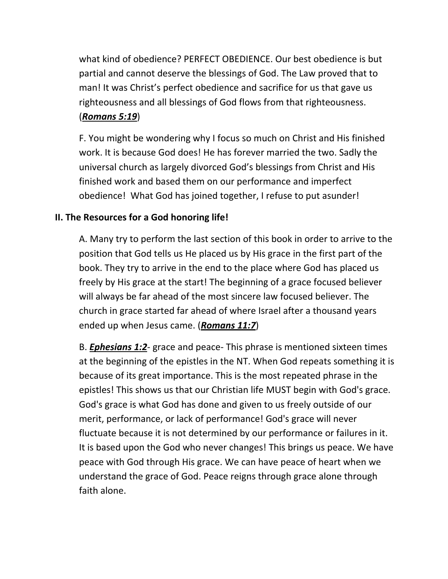what kind of obedience? PERFECT OBEDIENCE. Our best obedience is but partial and cannot deserve the blessings of God. The Law proved that to man! It was Christ's perfect obedience and sacrifice for us that gave us righteousness and all blessings of God flows from that righteousness. (*Romans 5:19*)

F. You might be wondering why I focus so much on Christ and His finished work. It is because God does! He has forever married the two. Sadly the universal church as largely divorced God's blessings from Christ and His finished work and based them on our performance and imperfect obedience! What God has joined together, I refuse to put asunder!

# **II. The Resources for a God honoring life!**

A. Many try to perform the last section of this book in order to arrive to the position that God tells us He placed us by His grace in the first part of the book. They try to arrive in the end to the place where God has placed us freely by His grace at the start! The beginning of a grace focused believer will always be far ahead of the most sincere law focused believer. The church in grace started far ahead of where Israel after a thousand years ended up when Jesus came. (*Romans 11:7*)

B. *Ephesians 1:2*- grace and peace- This phrase is mentioned sixteen times at the beginning of the epistles in the NT. When God repeats something it is because of its great importance. This is the most repeated phrase in the epistles! This shows us that our Christian life MUST begin with God's grace. God's grace is what God has done and given to us freely outside of our merit, performance, or lack of performance! God's grace will never fluctuate because it is not determined by our performance or failures in it. It is based upon the God who never changes! This brings us peace. We have peace with God through His grace. We can have peace of heart when we understand the grace of God. Peace reigns through grace alone through faith alone.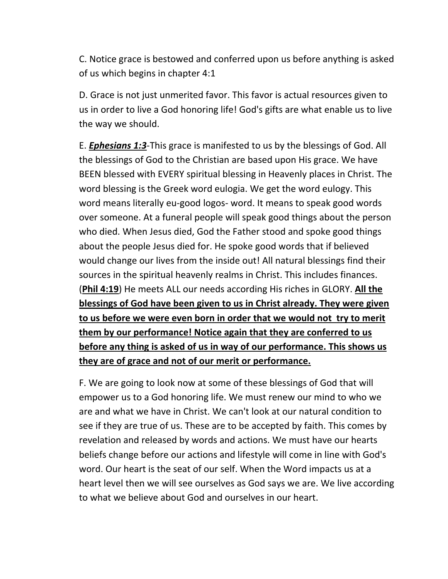C. Notice grace is bestowed and conferred upon us before anything is asked of us which begins in chapter 4:1

D. Grace is not just unmerited favor. This favor is actual resources given to us in order to live a God honoring life! God's gifts are what enable us to live the way we should.

E. *Ephesians 1:3*-This grace is manifested to us by the blessings of God. All the blessings of God to the Christian are based upon His grace. We have BEEN blessed with EVERY spiritual blessing in Heavenly places in Christ. The word blessing is the Greek word eulogia. We get the word eulogy. This word means literally eu-good logos- word. It means to speak good words over someone. At a funeral people will speak good things about the person who died. When Jesus died, God the Father stood and spoke good things about the people Jesus died for. He spoke good words that if believed would change our lives from the inside out! All natural blessings find their sources in the spiritual heavenly realms in Christ. This includes finances. (**Phil 4:19**) He meets ALL our needs according His riches in GLORY. **All the blessings of God have been given to us in Christ already. They were given to us before we were even born in order that we would not try to merit them by our performance! Notice again that they are conferred to us before any thing is asked of us in way of our performance. This shows us they are of grace and not of our merit or performance.** 

F. We are going to look now at some of these blessings of God that will empower us to a God honoring life. We must renew our mind to who we are and what we have in Christ. We can't look at our natural condition to see if they are true of us. These are to be accepted by faith. This comes by revelation and released by words and actions. We must have our hearts beliefs change before our actions and lifestyle will come in line with God's word. Our heart is the seat of our self. When the Word impacts us at a heart level then we will see ourselves as God says we are. We live according to what we believe about God and ourselves in our heart.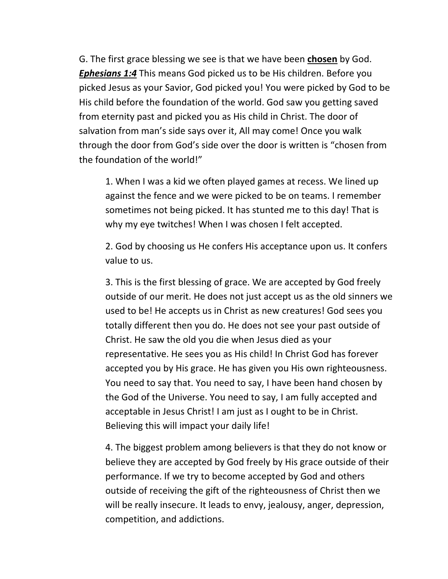G. The first grace blessing we see is that we have been **chosen** by God. *Ephesians 1:4* This means God picked us to be His children. Before you picked Jesus as your Savior, God picked you! You were picked by God to be His child before the foundation of the world. God saw you getting saved from eternity past and picked you as His child in Christ. The door of salvation from man's side says over it, All may come! Once you walk through the door from God's side over the door is written is "chosen from the foundation of the world!"

1. When I was a kid we often played games at recess. We lined up against the fence and we were picked to be on teams. I remember sometimes not being picked. It has stunted me to this day! That is why my eye twitches! When I was chosen I felt accepted.

2. God by choosing us He confers His acceptance upon us. It confers value to us.

3. This is the first blessing of grace. We are accepted by God freely outside of our merit. He does not just accept us as the old sinners we used to be! He accepts us in Christ as new creatures! God sees you totally different then you do. He does not see your past outside of Christ. He saw the old you die when Jesus died as your representative. He sees you as His child! In Christ God has forever accepted you by His grace. He has given you His own righteousness. You need to say that. You need to say, I have been hand chosen by the God of the Universe. You need to say, I am fully accepted and acceptable in Jesus Christ! I am just as I ought to be in Christ. Believing this will impact your daily life!

4. The biggest problem among believers is that they do not know or believe they are accepted by God freely by His grace outside of their performance. If we try to become accepted by God and others outside of receiving the gift of the righteousness of Christ then we will be really insecure. It leads to envy, jealousy, anger, depression, competition, and addictions.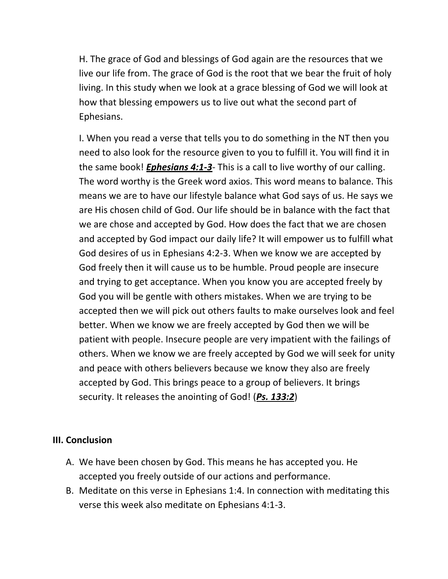H. The grace of God and blessings of God again are the resources that we live our life from. The grace of God is the root that we bear the fruit of holy living. In this study when we look at a grace blessing of God we will look at how that blessing empowers us to live out what the second part of Ephesians.

I. When you read a verse that tells you to do something in the NT then you need to also look for the resource given to you to fulfill it. You will find it in the same book! *Ephesians 4:1-3*- This is a call to live worthy of our calling. The word worthy is the Greek word axios. This word means to balance. This means we are to have our lifestyle balance what God says of us. He says we are His chosen child of God. Our life should be in balance with the fact that we are chose and accepted by God. How does the fact that we are chosen and accepted by God impact our daily life? It will empower us to fulfill what God desires of us in Ephesians 4:2-3. When we know we are accepted by God freely then it will cause us to be humble. Proud people are insecure and trying to get acceptance. When you know you are accepted freely by God you will be gentle with others mistakes. When we are trying to be accepted then we will pick out others faults to make ourselves look and feel better. When we know we are freely accepted by God then we will be patient with people. Insecure people are very impatient with the failings of others. When we know we are freely accepted by God we will seek for unity and peace with others believers because we know they also are freely accepted by God. This brings peace to a group of believers. It brings security. It releases the anointing of God! (*Ps. 133:2*)

#### **III. Conclusion**

- A. We have been chosen by God. This means he has accepted you. He accepted you freely outside of our actions and performance.
- B. Meditate on this verse in Ephesians 1:4. In connection with meditating this verse this week also meditate on Ephesians 4:1-3.